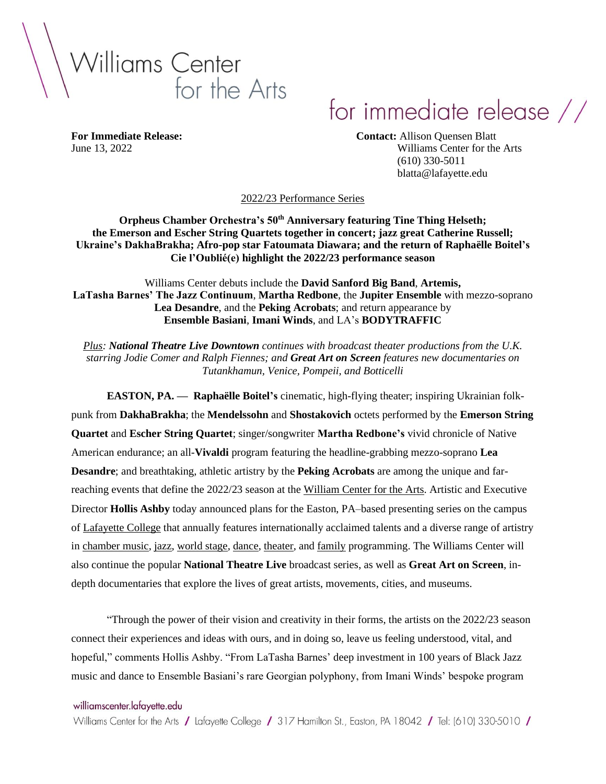

# for immediate release //

**For Immediate Release: Contact:** Allison Quensen Blatt June 13, 2022 Williams Center for the Arts (610) 330-5011 blatta@lafayette.edu

2022/23 Performance Series

**Orpheus Chamber Orchestra's 50th Anniversary featuring Tine Thing Helseth; the Emerson and Escher String Quartets together in concert; jazz great Catherine Russell; Ukraine's DakhaBrakha; Afro-pop star Fatoumata Diawara; and the return of Raphaëlle Boitel's Cie l'Oublié(e) highlight the 2022/23 performance season**

Williams Center debuts include the **David Sanford Big Band**, **Artemis, LaTasha Barnes' The Jazz Continuum**, **Martha Redbone**, the **Jupiter Ensemble** with mezzo-soprano **Lea Desandre**, and the **Peking Acrobats**; and return appearance by **Ensemble Basiani**, **Imani Winds**, and LA's **BODYTRAFFIC**

*Plus: National Theatre Live Downtown continues with broadcast theater productions from the U.K. starring Jodie Comer and Ralph Fiennes; and Great Art on Screen features new documentaries on Tutankhamun, Venice, Pompeii, and Botticelli*

**EASTON, PA. — Raphaëlle Boitel's** cinematic, high-flying theater; inspiring Ukrainian folkpunk from **DakhaBrakha**; the **Mendelssohn** and **Shostakovich** octets performed by the **Emerson String Quartet** and **Escher String Quartet**; singer/songwriter **Martha Redbone's** vivid chronicle of Native American endurance; an all-**Vivaldi** program featuring the headline-grabbing mezzo-soprano **Lea Desandre**; and breathtaking, athletic artistry by the **Peking Acrobats** are among the unique and farreaching events that define the 2022/23 season at the William Center for the Arts. Artistic and Executive Director **Hollis Ashby** today announced plans for the Easton, PA–based presenting series on the campus of Lafayette College that annually features internationally acclaimed talents and a diverse range of artistry in chamber music, jazz, world stage, dance, theater, and family programming. The Williams Center will also continue the popular **National Theatre Live** broadcast series, as well as **Great Art on Screen**, indepth documentaries that explore the lives of great artists, movements, cities, and museums.

"Through the power of their vision and creativity in their forms, the artists on the 2022/23 season connect their experiences and ideas with ours, and in doing so, leave us feeling understood, vital, and hopeful," comments Hollis Ashby. "From LaTasha Barnes' deep investment in 100 years of Black Jazz music and dance to Ensemble Basiani's rare Georgian polyphony, from Imani Winds' bespoke program

#### williamscenter.lafayette.edu

Williams Center for the Arts / Lafayette College / 317 Hamilton St., Easton, PA 18042 / Tel: (610) 330-5010 /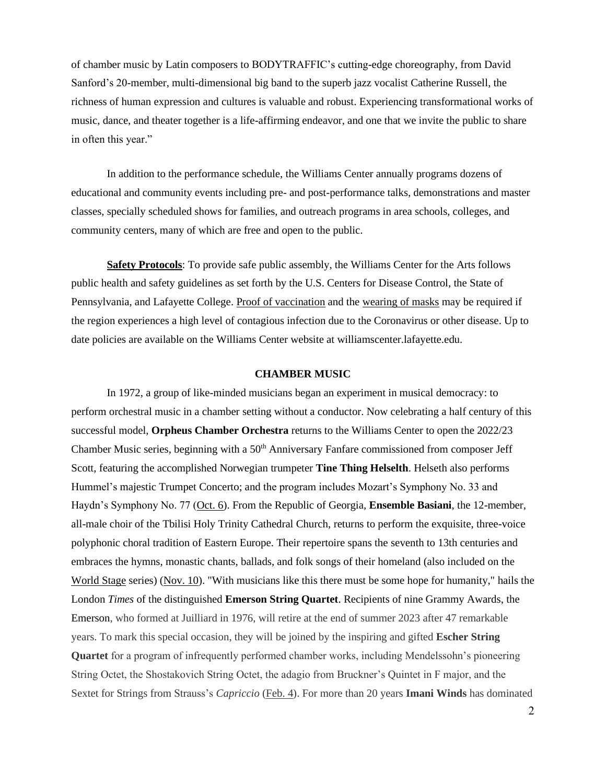of chamber music by Latin composers to BODYTRAFFIC's cutting-edge choreography, from David Sanford's 20-member, multi-dimensional big band to the superb jazz vocalist Catherine Russell, the richness of human expression and cultures is valuable and robust. Experiencing transformational works of music, dance, and theater together is a life-affirming endeavor, and one that we invite the public to share in often this year."

In addition to the performance schedule, the Williams Center annually programs dozens of educational and community events including pre- and post-performance talks, demonstrations and master classes, specially scheduled shows for families, and outreach programs in area schools, colleges, and community centers, many of which are free and open to the public.

**Safety Protocols**: To provide safe public assembly, the Williams Center for the Arts follows public health and safety guidelines as set forth by the U.S. Centers for Disease Control, the State of Pennsylvania, and Lafayette College. Proof of vaccination and the wearing of masks may be required if the region experiences a high level of contagious infection due to the Coronavirus or other disease. Up to date policies are available on the Williams Center website at williamscenter.lafayette.edu.

#### **CHAMBER MUSIC**

In 1972, a group of like-minded musicians began an experiment in musical democracy: to perform orchestral music in a chamber setting without a conductor. Now celebrating a half century of this successful model, **Orpheus Chamber Orchestra** returns to the Williams Center to open the 2022/23 Chamber Music series, beginning with a 50<sup>th</sup> Anniversary Fanfare commissioned from composer Jeff Scott, featuring the accomplished Norwegian trumpeter **Tine Thing Helselth**. Helseth also performs Hummel's majestic Trumpet Concerto; and the program includes Mozart's Symphony No. 33 and Haydn's Symphony No. 77 (Oct. 6). From the Republic of Georgia, **Ensemble Basiani**, the 12-member, all-male choir of the Tbilisi Holy Trinity Cathedral Church, returns to perform the exquisite, three-voice polyphonic choral tradition of Eastern Europe. Their repertoire spans the seventh to 13th centuries and embraces the hymns, monastic chants, ballads, and folk songs of their homeland (also included on the World Stage series) (Nov. 10). "With musicians like this there must be some hope for humanity," hails the London *Times* of the distinguished **Emerson String Quartet**. Recipients of nine Grammy Awards, the Emerson, who formed at Juilliard in 1976, will retire at the end of summer 2023 after 47 remarkable years. To mark this special occasion, they will be joined by the inspiring and gifted **Escher String Quartet** for a program of infrequently performed chamber works, including Mendelssohn's pioneering String Octet, the Shostakovich String Octet, the adagio from Bruckner's Quintet in F major, and the Sextet for Strings from Strauss's *Capriccio* (Feb. 4). For more than 20 years **Imani Winds** has dominated

2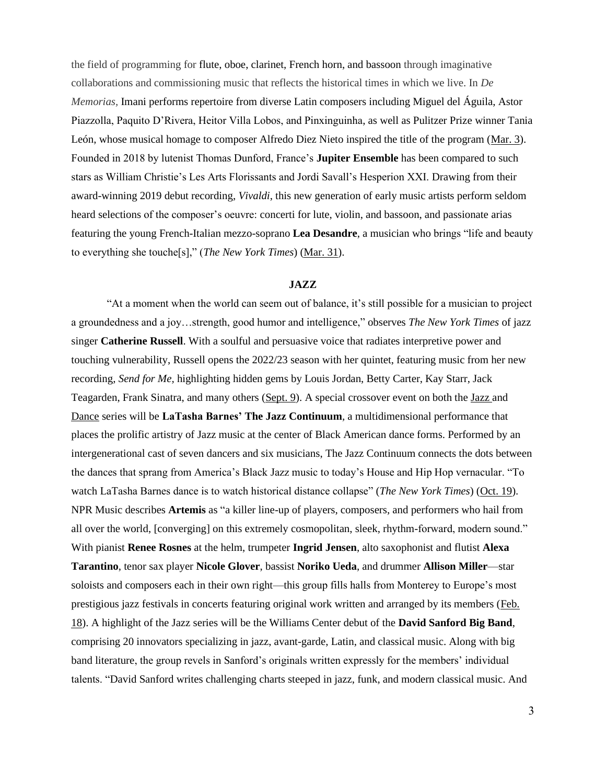the field of programming for flute, oboe, clarinet, French horn, and bassoon through imaginative collaborations and commissioning music that reflects the historical times in which we live. In *De Memorias,* Imani performs repertoire from diverse Latin composers including Miguel del Águila, Astor Piazzolla, Paquito D'Rivera, Heitor Villa Lobos, and Pinxinguinha, as well as Pulitzer Prize winner Tania León, whose musical homage to composer Alfredo Diez Nieto inspired the title of the program (Mar. 3). Founded in 2018 by lutenist Thomas Dunford, France's **Jupiter Ensemble** has been compared to such stars as William Christie's Les Arts Florissants and Jordi Savall's Hesperion XXI. Drawing from their award-winning 2019 debut recording, *Vivaldi*, this new generation of early music artists perform seldom heard selections of the composer's oeuvre: concerti for lute, violin, and bassoon, and passionate arias featuring the young French-Italian mezzo-soprano **Lea Desandre**, a musician who brings "life and beauty to everything she touche[s]," (*The New York Times*) (Mar. 31).

#### **JAZZ**

"At a moment when the world can seem out of balance, it's still possible for a musician to project a groundedness and a joy…strength, good humor and intelligence," observes *The New York Times* of jazz singer **Catherine Russell**. With a soulful and persuasive voice that radiates interpretive power and touching vulnerability, Russell opens the 2022/23 season with her quintet, featuring music from her new recording, *Send for Me,* highlighting hidden gems by Louis Jordan, Betty Carter, Kay Starr, Jack Teagarden, Frank Sinatra, and many others (Sept. 9). A special crossover event on both the Jazz and Dance series will be **LaTasha Barnes' The Jazz Continuum***,* a multidimensional performance that places the prolific artistry of Jazz music at the center of Black American dance forms. Performed by an intergenerational cast of seven dancers and six musicians, The Jazz Continuum connects the dots between the dances that sprang from America's Black Jazz music to today's House and Hip Hop vernacular. "To watch LaTasha Barnes dance is to watch historical distance collapse" (*The New York Times*) (Oct. 19). NPR Music describes **Artemis** as "a killer line-up of players, composers, and performers who hail from all over the world, [converging] on this extremely cosmopolitan, sleek, rhythm-forward, modern sound." With pianist **Renee Rosnes** at the helm, trumpeter **Ingrid Jensen**, alto saxophonist and flutist **Alexa Tarantino**, tenor sax player **Nicole Glover**, bassist **Noriko Ueda**, and drummer **Allison Miller**—star soloists and composers each in their own right—this group fills halls from Monterey to Europe's most prestigious jazz festivals in concerts featuring original work written and arranged by its members (Feb. 18). A highlight of the Jazz series will be the Williams Center debut of the **David Sanford Big Band**, comprising 20 innovators specializing in jazz, avant-garde, Latin, and classical music. Along with big band literature, the group revels in Sanford's originals written expressly for the members' individual talents. "David Sanford writes challenging charts steeped in jazz, funk, and modern classical music. And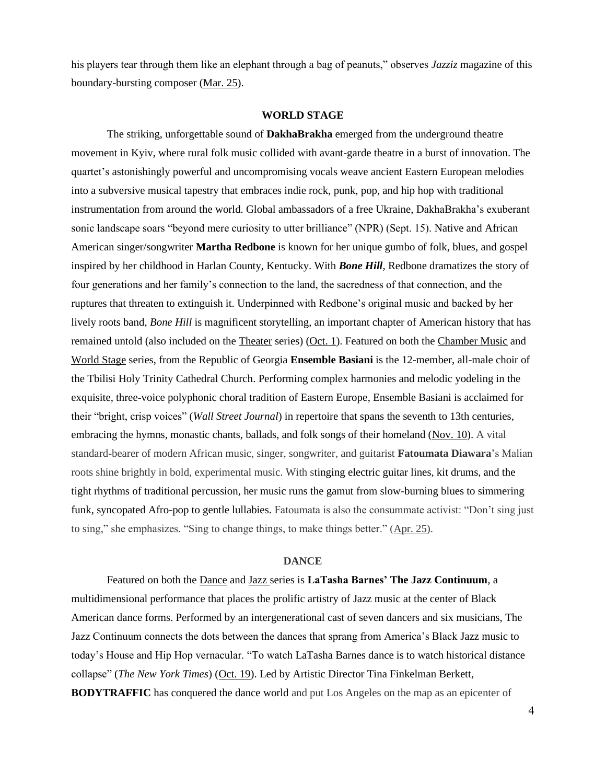his players tear through them like an elephant through a bag of peanuts," observes *Jazziz* magazine of this boundary-bursting composer (Mar. 25).

#### **WORLD STAGE**

The striking, unforgettable sound of **DakhaBrakha** emerged from the underground theatre movement in Kyiv, where rural folk music collided with avant-garde theatre in a burst of innovation. The quartet's astonishingly powerful and uncompromising vocals weave ancient Eastern European melodies into a subversive musical tapestry that embraces indie rock, punk, pop, and hip hop with traditional instrumentation from around the world. Global ambassadors of a free Ukraine, DakhaBrakha's exuberant sonic landscape soars "beyond mere curiosity to utter brilliance" (NPR) (Sept. 15). Native and African American singer/songwriter **Martha Redbone** is known for her unique gumbo of folk, blues, and gospel inspired by her childhood in Harlan County, Kentucky. With *Bone Hill*, Redbone dramatizes the story of four generations and her family's connection to the land, the sacredness of that connection, and the ruptures that threaten to extinguish it. Underpinned with Redbone's original music and backed by her lively roots band, *Bone Hill* is magnificent storytelling, an important chapter of American history that has remained untold (also included on the Theater series) (Oct. 1). Featured on both the Chamber Music and World Stage series, from the Republic of Georgia **Ensemble Basiani** is the 12-member, all-male choir of the Tbilisi Holy Trinity Cathedral Church. Performing complex harmonies and melodic yodeling in the exquisite, three-voice polyphonic choral tradition of Eastern Europe, Ensemble Basiani is acclaimed for their "bright, crisp voices" (*Wall Street Journal*) in repertoire that spans the seventh to 13th centuries, embracing the hymns, monastic chants, ballads, and folk songs of their homeland (Nov. 10). A vital standard-bearer of modern African music, singer, songwriter, and guitarist **Fatoumata Diawara**'s Malian roots shine brightly in bold, experimental music. With stinging electric guitar lines, kit drums, and the tight rhythms of traditional percussion, her music runs the gamut from slow-burning blues to simmering funk, syncopated Afro-pop to gentle lullabies. Fatoumata is also the consummate activist: "Don't sing just to sing," she emphasizes. "Sing to change things, to make things better." (Apr. 25).

#### **DANCE**

Featured on both the Dance and Jazz series is **LaTasha Barnes' The Jazz Continuum***,* a multidimensional performance that places the prolific artistry of Jazz music at the center of Black American dance forms. Performed by an intergenerational cast of seven dancers and six musicians, The Jazz Continuum connects the dots between the dances that sprang from America's Black Jazz music to today's House and Hip Hop vernacular. "To watch LaTasha Barnes dance is to watch historical distance collapse" (*The New York Times*) (Oct. 19). Led by Artistic Director Tina Finkelman Berkett, **BODYTRAFFIC** has conquered the dance world and put Los Angeles on the map as an epicenter of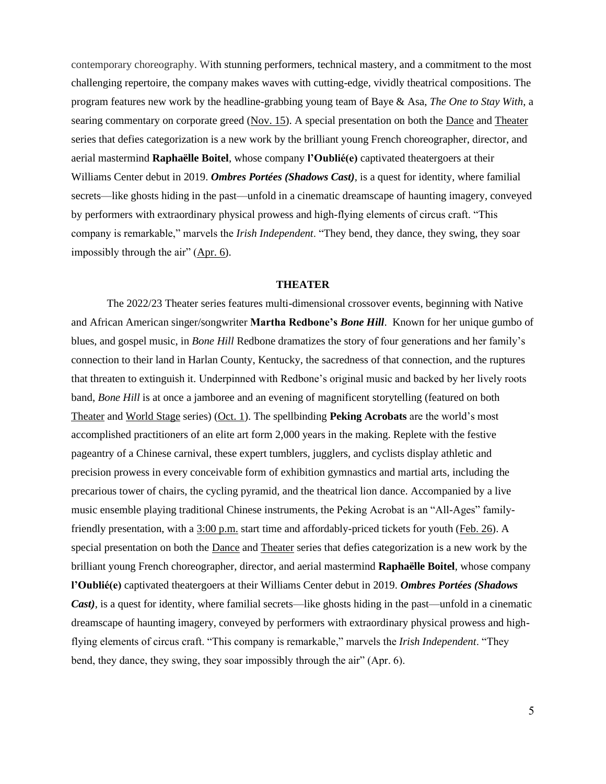contemporary choreography. With stunning performers, technical mastery, and a commitment to the most challenging repertoire, the company makes waves with cutting-edge, vividly theatrical compositions. The program features new work by the headline-grabbing young team of Baye & Asa, *The One to Stay With*, a searing commentary on corporate greed (Nov. 15). A special presentation on both the Dance and Theater series that defies categorization is a new work by the brilliant young French choreographer, director, and aerial mastermind **Raphaëlle Boitel**, whose company **l'Oublié(e)** captivated theatergoers at their Williams Center debut in 2019. *Ombres Portées (Shadows Cast)*, is a quest for identity, where familial secrets—like ghosts hiding in the past—unfold in a cinematic dreamscape of haunting imagery, conveyed by performers with extraordinary physical prowess and high-flying elements of circus craft. "This company is remarkable," marvels the *Irish Independent*. "They bend, they dance, they swing, they soar impossibly through the air" (Apr. 6).

#### **THEATER**

The 2022/23 Theater series features multi-dimensional crossover events, beginning with Native and African American singer/songwriter **Martha Redbone's** *Bone Hill*. Known for her unique gumbo of blues, and gospel music, in *Bone Hill* Redbone dramatizes the story of four generations and her family's connection to their land in Harlan County, Kentucky, the sacredness of that connection, and the ruptures that threaten to extinguish it. Underpinned with Redbone's original music and backed by her lively roots band, *Bone Hill* is at once a jamboree and an evening of magnificent storytelling (featured on both Theater and World Stage series) (Oct. 1). The spellbinding **Peking Acrobats** are the world's most accomplished practitioners of an elite art form 2,000 years in the making. Replete with the festive pageantry of a Chinese carnival, these expert tumblers, jugglers, and cyclists display athletic and precision prowess in every conceivable form of exhibition gymnastics and martial arts, including the precarious tower of chairs, the cycling pyramid, and the theatrical lion dance. Accompanied by a live music ensemble playing traditional Chinese instruments, the Peking Acrobat is an "All-Ages" familyfriendly presentation, with a 3:00 p.m. start time and affordably-priced tickets for youth (Feb. 26). A special presentation on both the Dance and Theater series that defies categorization is a new work by the brilliant young French choreographer, director, and aerial mastermind **Raphaëlle Boitel**, whose company **l'Oublié(e)** captivated theatergoers at their Williams Center debut in 2019. *Ombres Portées (Shadows Cast*), is a quest for identity, where familial secrets—like ghosts hiding in the past—unfold in a cinematic dreamscape of haunting imagery, conveyed by performers with extraordinary physical prowess and highflying elements of circus craft. "This company is remarkable," marvels the *Irish Independent*. "They bend, they dance, they swing, they soar impossibly through the air" (Apr. 6).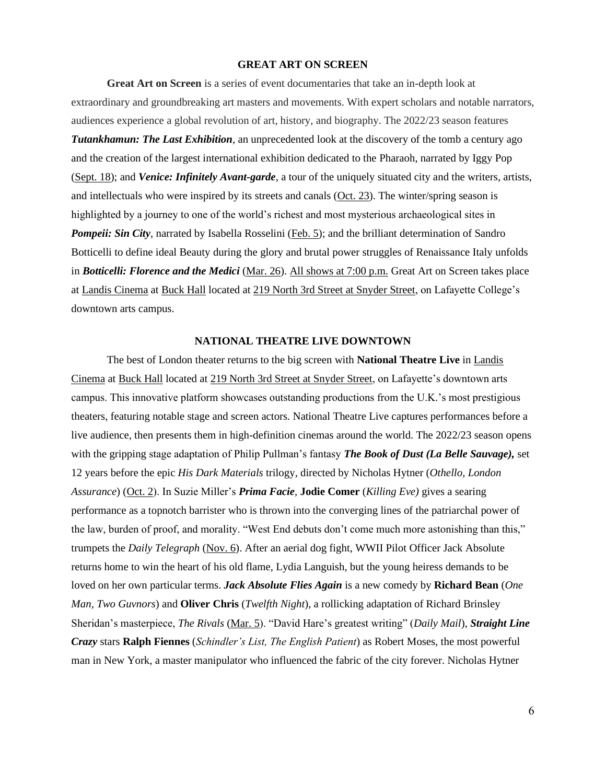#### **GREAT ART ON SCREEN**

**Great Art on Screen** is a series of event documentaries that take an in-depth look at extraordinary and groundbreaking art masters and movements. With expert scholars and notable narrators, audiences experience a global revolution of art, history, and biography. The 2022/23 season features *Tutankhamun: The Last Exhibition*, an unprecedented look at the discovery of the tomb a century ago and the creation of the largest international exhibition dedicated to the Pharaoh, narrated by Iggy Pop (Sept. 18); and *Venice: Infinitely Avant-garde*, a tour of the uniquely situated city and the writers, artists, and intellectuals who were inspired by its streets and canals (Oct. 23). The winter/spring season is highlighted by a journey to one of the world's richest and most mysterious archaeological sites in *Pompeii: Sin City*, narrated by Isabella Rosselini (Feb. 5); and the brilliant determination of Sandro Botticelli to define ideal Beauty during the glory and brutal power struggles of Renaissance Italy unfolds in *Botticelli: Florence and the Medici* (Mar. 26). All shows at 7:00 p.m. Great Art on Screen takes place at Landis Cinema at Buck Hall located at 219 North 3rd Street at Snyder Street, on Lafayette College's downtown arts campus.

#### **NATIONAL THEATRE LIVE DOWNTOWN**

The best of London theater returns to the big screen with **National Theatre Live** in Landis Cinema at Buck Hall located at 219 North 3rd Street at Snyder Street, on Lafayette's downtown arts campus. This innovative platform showcases outstanding productions from the U.K.'s most prestigious theaters, featuring notable stage and screen actors. National Theatre Live captures performances before a live audience, then presents them in high-definition cinemas around the world. The 2022/23 season opens with the gripping stage adaptation of Philip Pullman's fantasy *The Book of Dust (La Belle Sauvage),* set 12 years before the epic *His Dark Materials* trilogy, directed by Nicholas Hytner (*Othello, London Assurance*) (Oct. 2). In Suzie Miller's *Prima Facie*, **Jodie Comer** (*Killing Eve)* gives a searing performance as a topnotch barrister who is thrown into the converging lines of the patriarchal power of the law, burden of proof, and morality. "West End debuts don't come much more astonishing than this," trumpets the *Daily Telegraph* (Nov. 6). After an aerial dog fight, WWII Pilot Officer Jack Absolute returns home to win the heart of his old flame, Lydia Languish, but the young heiress demands to be loved on her own particular terms. *Jack Absolute Flies Again* is a new comedy by **Richard Bean** (*One Man, Two Guvnors*) and **Oliver Chris** (*Twelfth Night*), a rollicking adaptation of Richard Brinsley Sheridan's masterpiece, *The Rivals* (Mar. 5). "David Hare's greatest writing" (*Daily Mail*), *Straight Line Crazy* stars **Ralph Fiennes** (*Schindler's List, The English Patient*) as Robert Moses, the most powerful man in New York, a master manipulator who influenced the fabric of the city forever. Nicholas Hytner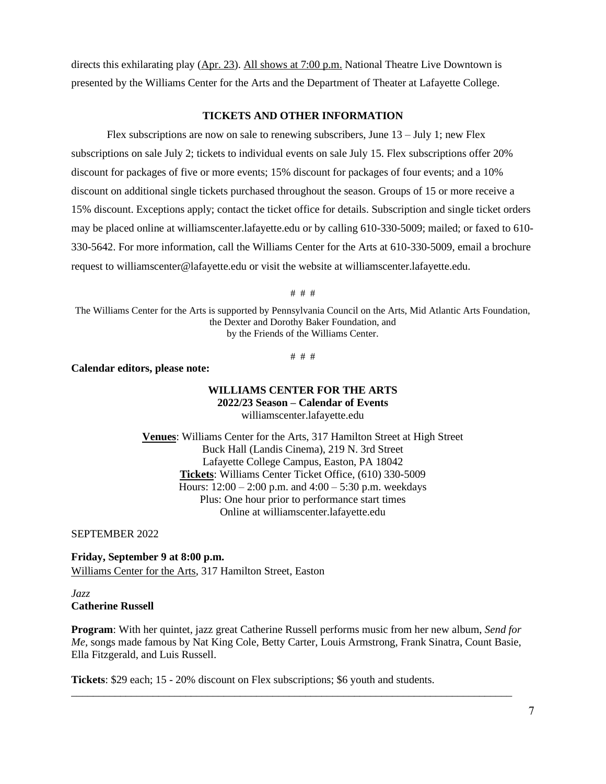directs this exhilarating play (Apr. 23). All shows at 7:00 p.m. National Theatre Live Downtown is presented by the Williams Center for the Arts and the Department of Theater at Lafayette College.

#### **TICKETS AND OTHER INFORMATION**

Flex subscriptions are now on sale to renewing subscribers, June 13 – July 1; new Flex subscriptions on sale July 2; tickets to individual events on sale July 15. Flex subscriptions offer 20% discount for packages of five or more events; 15% discount for packages of four events; and a 10% discount on additional single tickets purchased throughout the season. Groups of 15 or more receive a 15% discount. Exceptions apply; contact the ticket office for details. Subscription and single ticket orders may be placed online at williamscenter.lafayette.edu or by calling 610-330-5009; mailed; or faxed to 610- 330-5642. For more information, call the Williams Center for the Arts at 610-330-5009, email a brochure request to williamscenter@lafayette.edu or visit the website at williamscenter.lafayette.edu.

# # #

The Williams Center for the Arts is supported by Pennsylvania Council on the Arts, Mid Atlantic Arts Foundation, the Dexter and Dorothy Baker Foundation, and by the Friends of the Williams Center.

# # #

**Calendar editors, please note:**

#### **WILLIAMS CENTER FOR THE ARTS 2022/23 Season – Calendar of Events** williamscenter.lafayette.edu

**Venues**: Williams Center for the Arts, 317 Hamilton Street at High Street Buck Hall (Landis Cinema), 219 N. 3rd Street Lafayette College Campus, Easton, PA 18042 **Tickets**: Williams Center Ticket Office, (610) 330-5009 Hours:  $12:00 - 2:00$  p.m. and  $4:00 - 5:30$  p.m. weekdays Plus: One hour prior to performance start times Online at williamscenter.lafayette.edu

SEPTEMBER 2022

**Friday, September 9 at 8:00 p.m.** Williams Center for the Arts, 317 Hamilton Street, Easton

#### *Jazz* **Catherine Russell**

**Program**: With her quintet, jazz great Catherine Russell performs music from her new album, *Send for Me,* songs made famous by Nat King Cole, Betty Carter, Louis Armstrong, Frank Sinatra, Count Basie, Ella Fitzgerald, and Luis Russell.

\_\_\_\_\_\_\_\_\_\_\_\_\_\_\_\_\_\_\_\_\_\_\_\_\_\_\_\_\_\_\_\_\_\_\_\_\_\_\_\_\_\_\_\_\_\_\_\_\_\_\_\_\_\_\_\_\_\_\_\_\_\_\_\_\_\_\_\_\_\_\_\_\_\_\_\_\_\_\_\_\_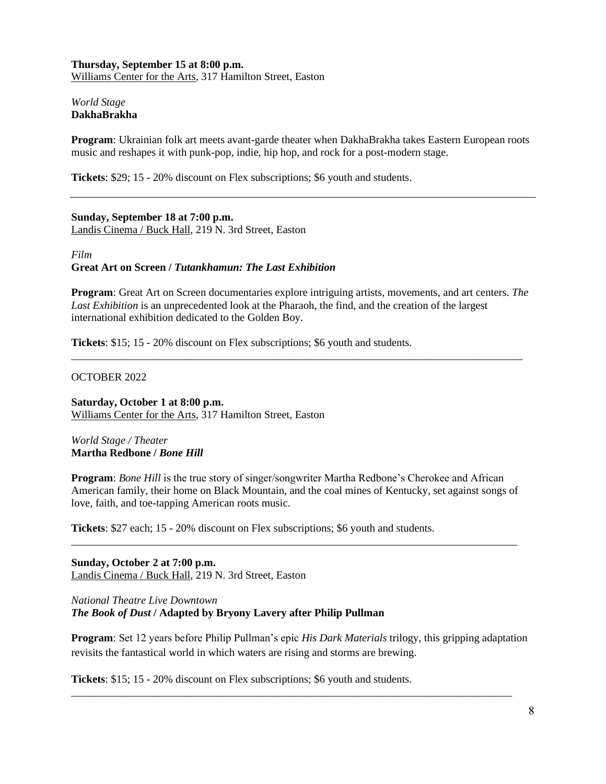## **Thursday, September 15 at 8:00 p.m.** Williams Center for the Arts, 317 Hamilton Street, Easton

## *World Stage* **DakhaBrakha**

**Program**: Ukrainian folk art meets avant-garde theater when DakhaBrakha takes Eastern European roots music and reshapes it with punk-pop, indie, hip hop, and rock for a post-modern stage.

**Tickets**: \$29; 15 - 20% discount on Flex subscriptions; \$6 youth and students.

**Sunday, September 18 at 7:00 p.m.** Landis Cinema / Buck Hall, 219 N. 3rd Street, Easton

*Film* **Great Art on Screen /** *Tutankhamun: The Last Exhibition*

**Program**: Great Art on Screen documentaries explore intriguing artists, movements, and art centers. *The Last Exhibition* is an unprecedented look at the Pharaoh, the find, and the creation of the largest international exhibition dedicated to the Golden Boy.

\_\_\_\_\_\_\_\_\_\_\_\_\_\_\_\_\_\_\_\_\_\_\_\_\_\_\_\_\_\_\_\_\_\_\_\_\_\_\_\_\_\_\_\_\_\_\_\_\_\_\_\_\_\_\_\_\_\_\_\_\_\_\_\_\_\_\_\_\_\_\_\_\_\_\_\_\_\_\_\_\_\_\_

**Tickets**: \$15; 15 - 20% discount on Flex subscriptions; \$6 youth and students.

#### OCTOBER 2022

**Saturday, October 1 at 8:00 p.m.** Williams Center for the Arts, 317 Hamilton Street, Easton

*World Stage / Theater* **Martha Redbone /** *Bone Hill*

**Program**: *Bone Hill* is the true story of singer/songwriter Martha Redbone's Cherokee and African American family, their home on Black Mountain, and the coal mines of Kentucky, set against songs of love, faith, and toe-tapping American roots music.

\_\_\_\_\_\_\_\_\_\_\_\_\_\_\_\_\_\_\_\_\_\_\_\_\_\_\_\_\_\_\_\_\_\_\_\_\_\_\_\_\_\_\_\_\_\_\_\_\_\_\_\_\_\_\_\_\_\_\_\_\_\_\_\_\_\_\_\_\_\_\_\_\_\_\_\_\_\_\_\_\_\_

**Tickets**: \$27 each; 15 - 20% discount on Flex subscriptions; \$6 youth and students.

**Sunday, October 2 at 7:00 p.m.** Landis Cinema / Buck Hall, 219 N. 3rd Street, Easton

*National Theatre Live Downtown The Book of Dust* **/ Adapted by Bryony Lavery after Philip Pullman**

**Program**: Set 12 years before Philip Pullman's epic *His Dark Materials* trilogy, this gripping adaptation revisits the fantastical world in which waters are rising and storms are brewing.

\_\_\_\_\_\_\_\_\_\_\_\_\_\_\_\_\_\_\_\_\_\_\_\_\_\_\_\_\_\_\_\_\_\_\_\_\_\_\_\_\_\_\_\_\_\_\_\_\_\_\_\_\_\_\_\_\_\_\_\_\_\_\_\_\_\_\_\_\_\_\_\_\_\_\_\_\_\_\_\_\_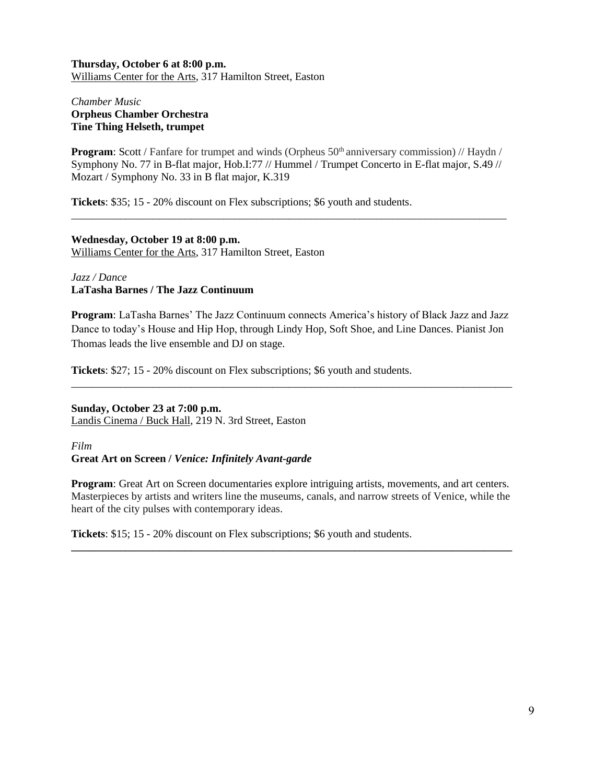# **Thursday, October 6 at 8:00 p.m.** Williams Center for the Arts, 317 Hamilton Street, Easton

# *Chamber Music* **Orpheus Chamber Orchestra Tine Thing Helseth, trumpet**

**Program:** Scott / Fanfare for trumpet and winds (Orpheus 50<sup>th</sup> anniversary commission) // Haydn / Symphony No. 77 in B-flat major, Hob.I:77 // Hummel / Trumpet Concerto in E-flat major, S.49 // Mozart / Symphony No. 33 in B flat major, K.319

\_\_\_\_\_\_\_\_\_\_\_\_\_\_\_\_\_\_\_\_\_\_\_\_\_\_\_\_\_\_\_\_\_\_\_\_\_\_\_\_\_\_\_\_\_\_\_\_\_\_\_\_\_\_\_\_\_\_\_\_\_\_\_\_\_\_\_\_\_\_\_\_\_\_\_\_\_\_\_\_

**Tickets**: \$35; 15 - 20% discount on Flex subscriptions; \$6 youth and students.

## **Wednesday, October 19 at 8:00 p.m.** Williams Center for the Arts, 317 Hamilton Street, Easton

# *Jazz / Dance* **LaTasha Barnes / The Jazz Continuum**

**Program**: LaTasha Barnes' The Jazz Continuum connects America's history of Black Jazz and Jazz Dance to today's House and Hip Hop, through Lindy Hop, Soft Shoe, and Line Dances. Pianist Jon Thomas leads the live ensemble and DJ on stage.

\_\_\_\_\_\_\_\_\_\_\_\_\_\_\_\_\_\_\_\_\_\_\_\_\_\_\_\_\_\_\_\_\_\_\_\_\_\_\_\_\_\_\_\_\_\_\_\_\_\_\_\_\_\_\_\_\_\_\_\_\_\_\_\_\_\_\_\_\_\_\_\_\_\_\_\_\_\_\_\_\_

**Tickets**: \$27; 15 - 20% discount on Flex subscriptions; \$6 youth and students.

# **Sunday, October 23 at 7:00 p.m.**

Landis Cinema / Buck Hall, 219 N. 3rd Street, Easton

## *Film* **Great Art on Screen /** *Venice: Infinitely Avant-garde*

**Program**: Great Art on Screen documentaries explore intriguing artists, movements, and art centers. Masterpieces by artists and writers line the museums, canals, and narrow streets of Venice, while the heart of the city pulses with contemporary ideas.

**\_\_\_\_\_\_\_\_\_\_\_\_\_\_\_\_\_\_\_\_\_\_\_\_\_\_\_\_\_\_\_\_\_\_\_\_\_\_\_\_\_\_\_\_\_\_\_\_\_\_\_\_\_\_\_\_\_\_\_\_\_\_\_\_\_\_\_\_\_\_\_\_\_\_\_\_\_\_\_\_\_**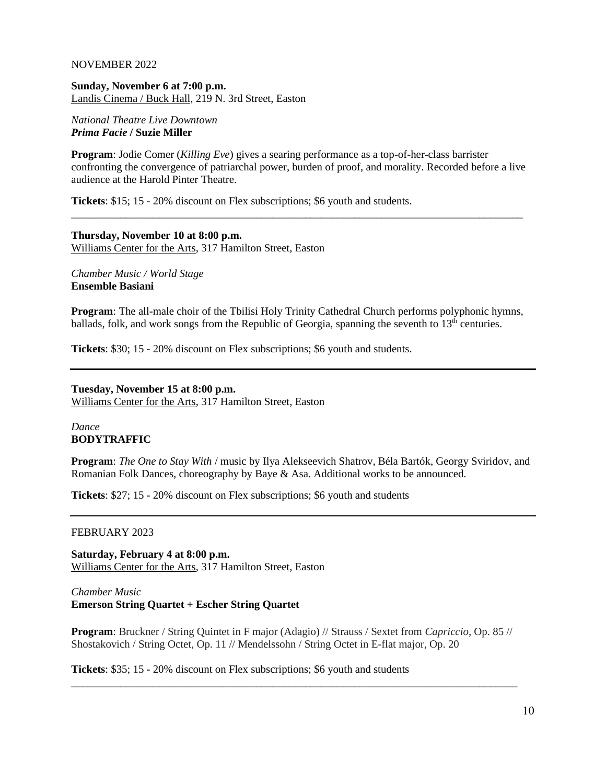#### NOVEMBER 2022

**Sunday, November 6 at 7:00 p.m.** Landis Cinema / Buck Hall, 219 N. 3rd Street, Easton

#### *National Theatre Live Downtown Prima Facie* **/ Suzie Miller**

**Program**: Jodie Comer (*Killing Eve*) gives a searing performance as a top-of-her-class barrister confronting the convergence of patriarchal power, burden of proof, and morality. Recorded before a live audience at the Harold Pinter Theatre.

\_\_\_\_\_\_\_\_\_\_\_\_\_\_\_\_\_\_\_\_\_\_\_\_\_\_\_\_\_\_\_\_\_\_\_\_\_\_\_\_\_\_\_\_\_\_\_\_\_\_\_\_\_\_\_\_\_\_\_\_\_\_\_\_\_\_\_\_\_\_\_\_\_\_\_\_\_\_\_\_\_\_\_

**Tickets**: \$15; 15 - 20% discount on Flex subscriptions; \$6 youth and students.

# **Thursday, November 10 at 8:00 p.m.** Williams Center for the Arts, 317 Hamilton Street, Easton

*Chamber Music / World Stage* **Ensemble Basiani**

**Program**: The all-male choir of the Tbilisi Holy Trinity Cathedral Church performs polyphonic hymns, ballads, folk, and work songs from the Republic of Georgia, spanning the seventh to 13<sup>th</sup> centuries.

**Tickets**: \$30; 15 - 20% discount on Flex subscriptions; \$6 youth and students.

#### **Tuesday, November 15 at 8:00 p.m.**

Williams Center for the Arts, 317 Hamilton Street, Easton

## *Dance* **BODYTRAFFIC**

**Program**: *The One to Stay With* / music by Ilya Alekseevich Shatrov, Béla Bartók, Georgy Sviridov, and Romanian Folk Dances, choreography by Baye & Asa. Additional works to be announced.

**Tickets**: \$27; 15 - 20% discount on Flex subscriptions; \$6 youth and students

#### FEBRUARY 2023

**Saturday, February 4 at 8:00 p.m.** Williams Center for the Arts, 317 Hamilton Street, Easton

# *Chamber Music* **Emerson String Quartet + Escher String Quartet**

**Program**: Bruckner / String Quintet in F major (Adagio) // Strauss / Sextet from *Capriccio,* Op. 85 // Shostakovich / String Octet, Op. 11 // Mendelssohn / String Octet in E-flat major, Op. 20

\_\_\_\_\_\_\_\_\_\_\_\_\_\_\_\_\_\_\_\_\_\_\_\_\_\_\_\_\_\_\_\_\_\_\_\_\_\_\_\_\_\_\_\_\_\_\_\_\_\_\_\_\_\_\_\_\_\_\_\_\_\_\_\_\_\_\_\_\_\_\_\_\_\_\_\_\_\_\_\_\_\_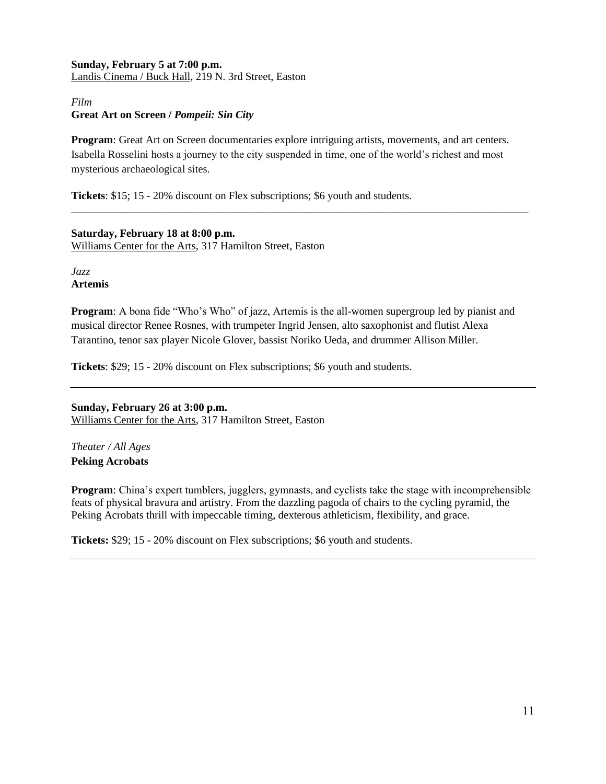# **Sunday, February 5 at 7:00 p.m.** Landis Cinema / Buck Hall, 219 N. 3rd Street, Easton

# *Film* **Great Art on Screen /** *Pompeii: Sin City*

**Program**: Great Art on Screen documentaries explore intriguing artists, movements, and art centers. Isabella Rosselini hosts a journey to the city suspended in time, one of the world's richest and most mysterious archaeological sites.

\_\_\_\_\_\_\_\_\_\_\_\_\_\_\_\_\_\_\_\_\_\_\_\_\_\_\_\_\_\_\_\_\_\_\_\_\_\_\_\_\_\_\_\_\_\_\_\_\_\_\_\_\_\_\_\_\_\_\_\_\_\_\_\_\_\_\_\_\_\_\_\_\_\_\_\_\_\_\_\_\_\_\_\_

**Tickets**: \$15; 15 - 20% discount on Flex subscriptions; \$6 youth and students.

**Saturday, February 18 at 8:00 p.m.** Williams Center for the Arts, 317 Hamilton Street, Easton

*Jazz* **Artemis**

**Program:** A bona fide "Who's Who" of jazz, Artemis is the all-women supergroup led by pianist and musical director Renee Rosnes, with trumpeter Ingrid Jensen, alto saxophonist and flutist Alexa Tarantino, tenor sax player Nicole Glover, bassist Noriko Ueda, and drummer Allison Miller.

**Tickets**: \$29; 15 - 20% discount on Flex subscriptions; \$6 youth and students.

**Sunday, February 26 at 3:00 p.m.** Williams Center for the Arts, 317 Hamilton Street, Easton

*Theater / All Ages* **Peking Acrobats**

**Program**: China's expert tumblers, jugglers, gymnasts, and cyclists take the stage with incomprehensible feats of physical bravura and artistry. From the dazzling pagoda of chairs to the cycling pyramid, the Peking Acrobats thrill with impeccable timing, dexterous athleticism, flexibility, and grace.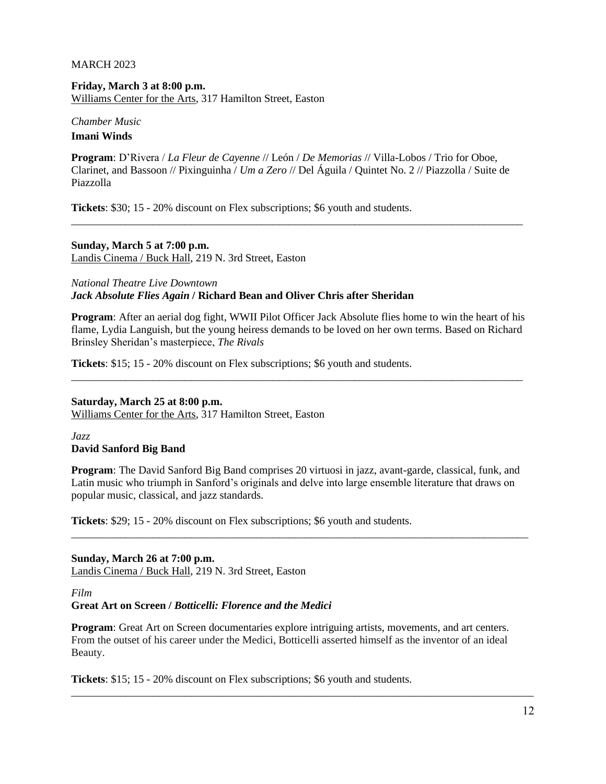#### MARCH 2023

**Friday, March 3 at 8:00 p.m.** Williams Center for the Arts, 317 Hamilton Street, Easton

## *Chamber Music* **Imani Winds**

**Program**: D'Rivera / *La Fleur de Cayenne* // León / *De Memorias* // Villa-Lobos / Trio for Oboe, Clarinet, and Bassoon // Pixinguinha / *Um a Zero* // Del Águila / Quintet No. 2 // Piazzolla / Suite de Piazzolla

\_\_\_\_\_\_\_\_\_\_\_\_\_\_\_\_\_\_\_\_\_\_\_\_\_\_\_\_\_\_\_\_\_\_\_\_\_\_\_\_\_\_\_\_\_\_\_\_\_\_\_\_\_\_\_\_\_\_\_\_\_\_\_\_\_\_\_\_\_\_\_\_\_\_\_\_\_\_\_\_\_\_\_

**Tickets**: \$30; 15 - 20% discount on Flex subscriptions; \$6 youth and students.

**Sunday, March 5 at 7:00 p.m.** Landis Cinema / Buck Hall, 219 N. 3rd Street, Easton

*National Theatre Live Downtown Jack Absolute Flies Again* **/ Richard Bean and Oliver Chris after Sheridan**

**Program**: After an aerial dog fight, WWII Pilot Officer Jack Absolute flies home to win the heart of his flame, Lydia Languish, but the young heiress demands to be loved on her own terms. Based on Richard Brinsley Sheridan's masterpiece, *The Rivals*

\_\_\_\_\_\_\_\_\_\_\_\_\_\_\_\_\_\_\_\_\_\_\_\_\_\_\_\_\_\_\_\_\_\_\_\_\_\_\_\_\_\_\_\_\_\_\_\_\_\_\_\_\_\_\_\_\_\_\_\_\_\_\_\_\_\_\_\_\_\_\_\_\_\_\_\_\_\_\_\_\_\_\_

**Tickets**: \$15; 15 - 20% discount on Flex subscriptions; \$6 youth and students.

#### **Saturday, March 25 at 8:00 p.m.**

Williams Center for the Arts, 317 Hamilton Street, Easton

*Jazz* **David Sanford Big Band**

**Program**: The David Sanford Big Band comprises 20 virtuosi in jazz, avant-garde, classical, funk, and Latin music who triumph in Sanford's originals and delve into large ensemble literature that draws on popular music, classical, and jazz standards.

\_\_\_\_\_\_\_\_\_\_\_\_\_\_\_\_\_\_\_\_\_\_\_\_\_\_\_\_\_\_\_\_\_\_\_\_\_\_\_\_\_\_\_\_\_\_\_\_\_\_\_\_\_\_\_\_\_\_\_\_\_\_\_\_\_\_\_\_\_\_\_\_\_\_\_\_\_\_\_\_\_\_\_\_

**Tickets**: \$29; 15 - 20% discount on Flex subscriptions; \$6 youth and students.

**Sunday, March 26 at 7:00 p.m.** Landis Cinema / Buck Hall, 219 N. 3rd Street, Easton

*Film*

**Great Art on Screen /** *Botticelli: Florence and the Medici*

**Program:** Great Art on Screen documentaries explore intriguing artists, movements, and art centers. From the outset of his career under the Medici, Botticelli asserted himself as the inventor of an ideal Beauty.

\_\_\_\_\_\_\_\_\_\_\_\_\_\_\_\_\_\_\_\_\_\_\_\_\_\_\_\_\_\_\_\_\_\_\_\_\_\_\_\_\_\_\_\_\_\_\_\_\_\_\_\_\_\_\_\_\_\_\_\_\_\_\_\_\_\_\_\_\_\_\_\_\_\_\_\_\_\_\_\_\_\_\_\_\_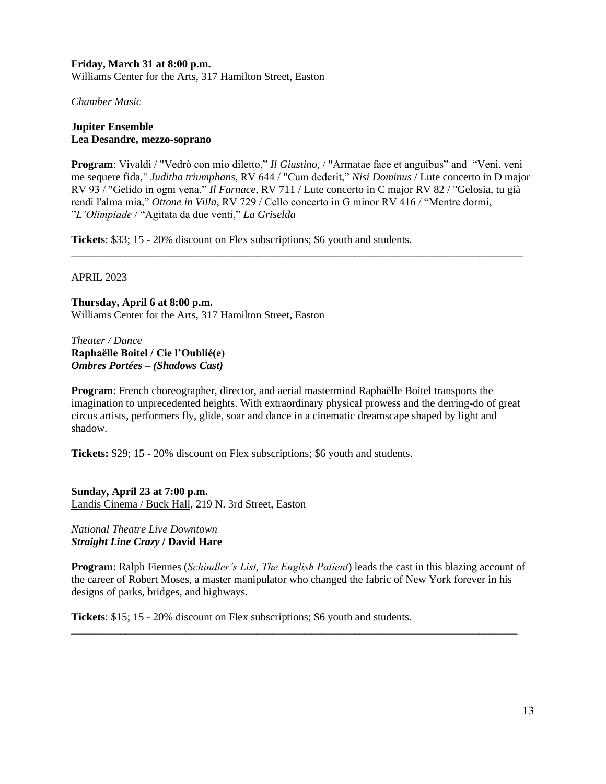**Friday, March 31 at 8:00 p.m.** Williams Center for the Arts, 317 Hamilton Street, Easton

*Chamber Music*

# **Jupiter Ensemble Lea Desandre, mezzo-soprano**

**Program**: Vivaldi / "Vedrò con mio diletto," *Il Giustino,* / "Armatae face et anguibus" and "Veni, veni me sequere fida," *Juditha triumphans*, RV 644 / "Cum dederit," *Nisi Dominus* / Lute concerto in D major RV 93 / "Gelido in ogni vena," *Il Farnace*, RV 711 / Lute concerto in C major RV 82 / "Gelosia, tu già rendi l'alma mia," *Ottone in Villa*, RV 729 / Cello concerto in G minor RV 416 / "Mentre dormi, "*L'Olimpiade* / "Agitata da due venti," *La Griselda*

\_\_\_\_\_\_\_\_\_\_\_\_\_\_\_\_\_\_\_\_\_\_\_\_\_\_\_\_\_\_\_\_\_\_\_\_\_\_\_\_\_\_\_\_\_\_\_\_\_\_\_\_\_\_\_\_\_\_\_\_\_\_\_\_\_\_\_\_\_\_\_\_\_\_\_\_\_\_\_\_\_\_\_

**Tickets**: \$33; 15 - 20% discount on Flex subscriptions; \$6 youth and students.

# APRIL 2023

**Thursday, April 6 at 8:00 p.m.** Williams Center for the Arts, 317 Hamilton Street, Easton

*Theater / Dance* **Raphaëlle Boitel / Cie l'Oublié(e)** *Ombres Portées – (Shadows Cast)*

**Program**: French choreographer, director, and aerial mastermind Raphaëlle Boitel transports the imagination to unprecedented heights. With extraordinary physical prowess and the derring-do of great circus artists, performers fly, glide, soar and dance in a cinematic dreamscape shaped by light and shadow.

**Tickets:** \$29; 15 - 20% discount on Flex subscriptions; \$6 youth and students.

**Sunday, April 23 at 7:00 p.m.** Landis Cinema / Buck Hall, 219 N. 3rd Street, Easton

*National Theatre Live Downtown Straight Line Crazy* **/ David Hare**

**Program**: Ralph Fiennes (*Schindler's List, The English Patient*) leads the cast in this blazing account of the career of Robert Moses, a master manipulator who changed the fabric of New York forever in his designs of parks, bridges, and highways.

\_\_\_\_\_\_\_\_\_\_\_\_\_\_\_\_\_\_\_\_\_\_\_\_\_\_\_\_\_\_\_\_\_\_\_\_\_\_\_\_\_\_\_\_\_\_\_\_\_\_\_\_\_\_\_\_\_\_\_\_\_\_\_\_\_\_\_\_\_\_\_\_\_\_\_\_\_\_\_\_\_\_